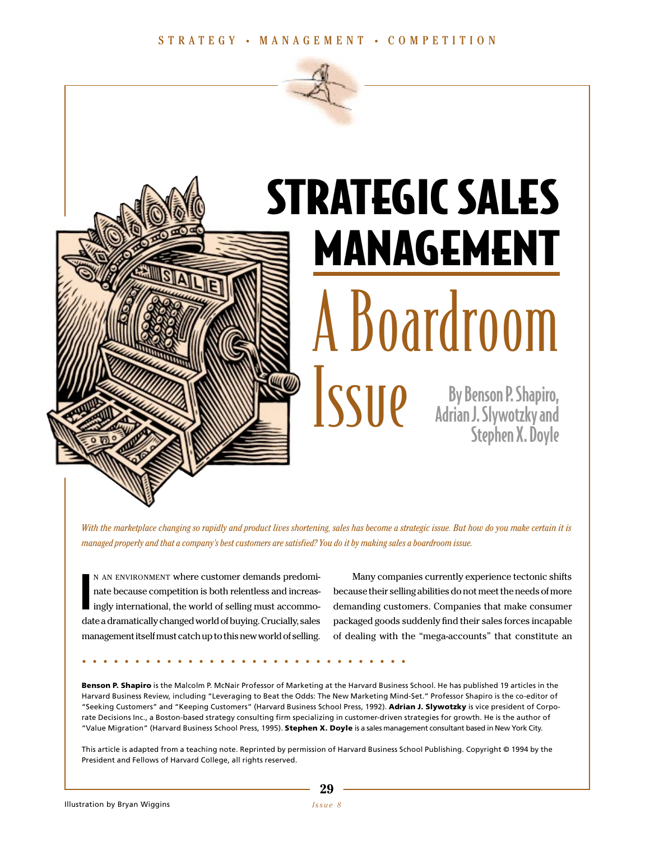

# STRATEGIC SALES MANAGEMENT A Boardroom Issue By Benson P. Shapiro,<br>Adrian J. Slywotzky and<br>Stephen X. Dovle

Adrian J. Slywotzky and Stephen X. Doyle

*With the marketplace changing so rapidly and product lives shortening, sales has become a strategic issue. But how do you make certain it is managed properly and that a company's best customers are satisfied? You do it by making sales a boardroom issue.*

I N AN ENVIRONMENT where customer demands predominate because competition is both relentless and increasingly international, the world of selling must accommodate a dramatically changed world of buying. Crucially, sales management itself must catch up to this new world of selling.

**...............................**

Many companies currently experience tectonic shifts because their selling abilities do not meet the needs of more demanding customers. Companies that make consumer packaged goods suddenly find their sales forces incapable of dealing with the "mega-accounts" that constitute an

**Benson P. Shapiro** is the Malcolm P. McNair Professor of Marketing at the Harvard Business School. He has published 19 articles in the Harvard Business Review, including "Leveraging to Beat the Odds: The New Marketing Mind-Set." Professor Shapiro is the co-editor of "Seeking Customers" and "Keeping Customers" (Harvard Business School Press, 1992). **Adrian J. Slywotzky** is vice president of Corporate Decisions Inc., a Boston-based strategy consulting firm specializing in customer-driven strategies for growth. He is the author of "Value Migration" (Harvard Business School Press, 1995). **Stephen X. Doyle** is a sales management consultant based in New York City.

This article is adapted from a teaching note. Reprinted by permission of Harvard Business School Publishing. Copyright © 1994 by the President and Fellows of Harvard College, all rights reserved.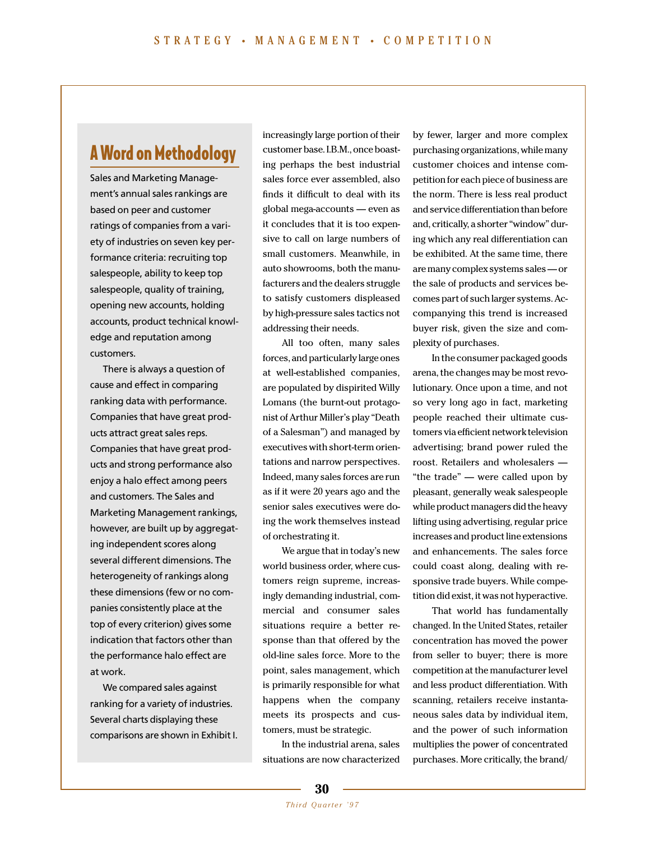# A Word on Methodology

Sales and Marketing Management's annual sales rankings are based on peer and customer ratings of companies from a variety of industries on seven key performance criteria: recruiting top salespeople, ability to keep top salespeople, quality of training, opening new accounts, holding accounts, product technical knowledge and reputation among customers.

There is always a question of cause and effect in comparing ranking data with performance. Companies that have great products attract great sales reps. Companies that have great products and strong performance also enjoy a halo effect among peers and customers. The Sales and Marketing Management rankings, however, are built up by aggregating independent scores along several different dimensions. The heterogeneity of rankings along these dimensions (few or no companies consistently place at the top of every criterion) gives some indication that factors other than the performance halo effect are at work.

We compared sales against ranking for a variety of industries. Several charts displaying these comparisons are shown in Exhibit I.

increasingly large portion of their customer base. I.B.M., once boasting perhaps the best industrial sales force ever assembled, also finds it difficult to deal with its global mega-accounts — even as it concludes that it is too expensive to call on large numbers of small customers. Meanwhile, in auto showrooms, both the manufacturers and the dealers struggle to satisfy customers displeased by high-pressure sales tactics not addressing their needs.

All too often, many sales forces, and particularly large ones at well-established companies, are populated by dispirited Willy Lomans (the burnt-out protagonist of Arthur Miller's play "Death of a Salesman") and managed by executives with short-term orientations and narrow perspectives. Indeed, many sales forces are run as if it were 20 years ago and the senior sales executives were doing the work themselves instead of orchestrating it.

We argue that in today's new world business order, where customers reign supreme, increasingly demanding industrial, commercial and consumer sales situations require a better response than that offered by the old-line sales force. More to the point, sales management, which is primarily responsible for what happens when the company meets its prospects and customers, must be strategic.

In the industrial arena, sales situations are now characterized

by fewer, larger and more complex purchasing organizations, while many customer choices and intense competition for each piece of business are the norm. There is less real product and service differentiation than before and, critically, a shorter "window" during which any real differentiation can be exhibited. At the same time, there are many complex systems sales — or the sale of products and services becomes part of such larger systems. Accompanying this trend is increased buyer risk, given the size and complexity of purchases.

In the consumer packaged goods arena, the changes may be most revolutionary. Once upon a time, and not so very long ago in fact, marketing people reached their ultimate customers via efficient network television advertising; brand power ruled the roost. Retailers and wholesalers — "the trade" — were called upon by pleasant, generally weak salespeople while product managers did the heavy lifting using advertising, regular price increases and product line extensions and enhancements. The sales force could coast along, dealing with responsive trade buyers. While competition did exist, it was not hyperactive.

That world has fundamentally changed. In the United States, retailer concentration has moved the power from seller to buyer; there is more competition at the manufacturer level and less product differentiation. With scanning, retailers receive instantaneous sales data by individual item, and the power of such information multiplies the power of concentrated purchases. More critically, the brand/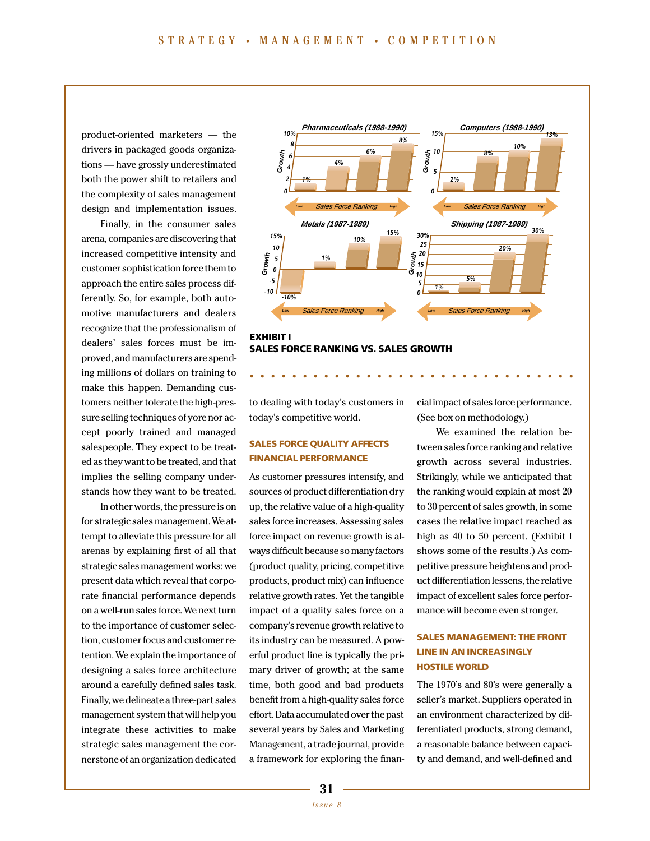product-oriented marketers — the drivers in packaged goods organizations — have grossly underestimated both the power shift to retailers and the complexity of sales management design and implementation issues.

Finally, in the consumer sales arena, companies are discovering that increased competitive intensity and customer sophistication force them to approach the entire sales process differently. So, for example, both automotive manufacturers and dealers recognize that the professionalism of dealers' sales forces must be improved, and manufacturers are spending millions of dollars on training to make this happen. Demanding customers neither tolerate the high-pressure selling techniques of yore nor accept poorly trained and managed salespeople. They expect to be treated as they want to be treated, and that implies the selling company understands how they want to be treated.

In other words, the pressure is on for strategic sales management. We attempt to alleviate this pressure for all arenas by explaining first of all that strategic sales management works: we present data which reveal that corporate financial performance depends on a well-run sales force. We next turn to the importance of customer selection, customer focus and customer retention. We explain the importance of designing a sales force architecture around a carefully defined sales task. Finally, we delineate a three-part sales management system that will help you integrate these activities to make strategic sales management the cornerstone of an organization dedicated



**...............................**

**EXHIBIT I SALES FORCE RANKING VS. SALES GROWTH**

to dealing with today's customers in today's competitive world.

# **SALES FORCE QUALITY AFFECTS FINANCIAL PERFORMANCE**

As customer pressures intensify, and sources of product differentiation dry up, the relative value of a high-quality sales force increases. Assessing sales force impact on revenue growth is always difficult because so many factors (product quality, pricing, competitive products, product mix) can influence relative growth rates. Yet the tangible impact of a quality sales force on a company's revenue growth relative to its industry can be measured. A powerful product line is typically the primary driver of growth; at the same time, both good and bad products benefit from a high-quality sales force effort. Data accumulated over the past several years by Sales and Marketing Management, a trade journal, provide a framework for exploring the financial impact of sales force performance. (See box on methodology.)

We examined the relation between sales force ranking and relative growth across several industries. Strikingly, while we anticipated that the ranking would explain at most 20 to 30 percent of sales growth, in some cases the relative impact reached as high as 40 to 50 percent. (Exhibit I shows some of the results.) As competitive pressure heightens and product differentiation lessens, the relative impact of excellent sales force performance will become even stronger.

# **SALES MANAGEMENT: THE FRONT LINE IN AN INCREASINGLY HOSTILE WORLD**

The 1970's and 80's were generally a seller's market. Suppliers operated in an environment characterized by differentiated products, strong demand, a reasonable balance between capacity and demand, and well-defined and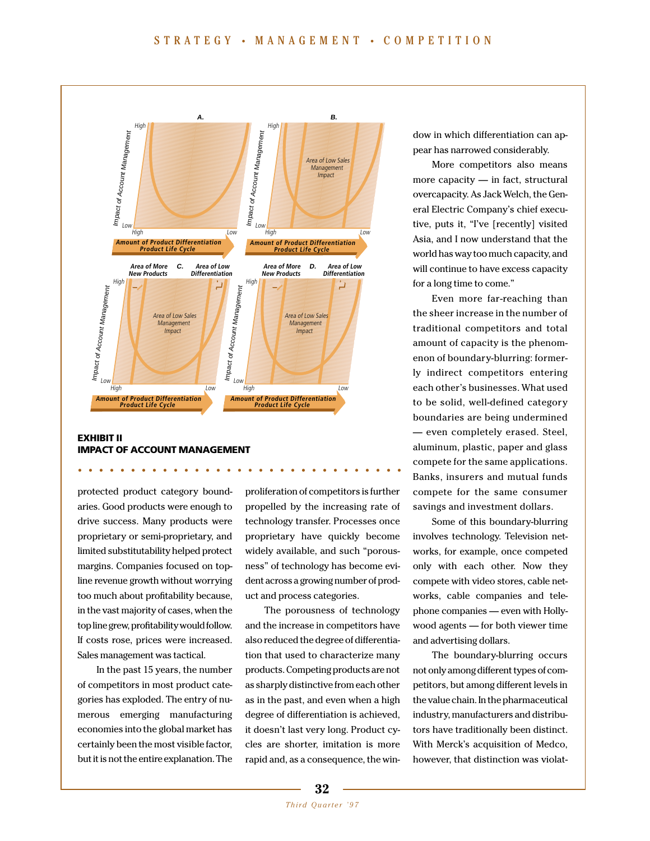

**...............................**

# **EXHIBIT II IMPACT OF ACCOUNT MANAGEMENT**

protected product category boundaries. Good products were enough to drive success. Many products were proprietary or semi-proprietary, and limited substitutability helped protect margins. Companies focused on topline revenue growth without worrying too much about profitability because, in the vast majority of cases, when the top line grew, profitability would follow. If costs rose, prices were increased. Sales management was tactical.

In the past 15 years, the number of competitors in most product categories has exploded. The entry of numerous emerging manufacturing economies into the global market has certainly been the most visible factor, but it is not the entire explanation. The

proliferation of competitors is further propelled by the increasing rate of technology transfer. Processes once proprietary have quickly become widely available, and such "porousness" of technology has become evident across a growing number of product and process categories.

The porousness of technology and the increase in competitors have also reduced the degree of differentiation that used to characterize many products. Competing products are not as sharply distinctive from each other as in the past, and even when a high degree of differentiation is achieved, it doesn't last very long. Product cycles are shorter, imitation is more rapid and, as a consequence, the window in which differentiation can appear has narrowed considerably.

More competitors also means more capacity — in fact, structural overcapacity. As Jack Welch, the General Electric Company's chief executive, puts it, "I've [recently] visited Asia, and I now understand that the world has way too much capacity, and will continue to have excess capacity for a long time to come."

Even more far-reaching than the sheer increase in the number of traditional competitors and total amount of capacity is the phenomenon of boundary-blurring: formerly indirect competitors entering each other's businesses. What used to be solid, well-defined category boundaries are being undermined — even completely erased. Steel, aluminum, plastic, paper and glass compete for the same applications. Banks, insurers and mutual funds compete for the same consumer savings and investment dollars.

Some of this boundary-blurring involves technology. Television networks, for example, once competed only with each other. Now they compete with video stores, cable networks, cable companies and telephone companies — even with Hollywood agents — for both viewer time and advertising dollars.

The boundary-blurring occurs not only among different types of competitors, but among different levels in the value chain. In the pharmaceutical industry, manufacturers and distributors have traditionally been distinct. With Merck's acquisition of Medco, however, that distinction was violat-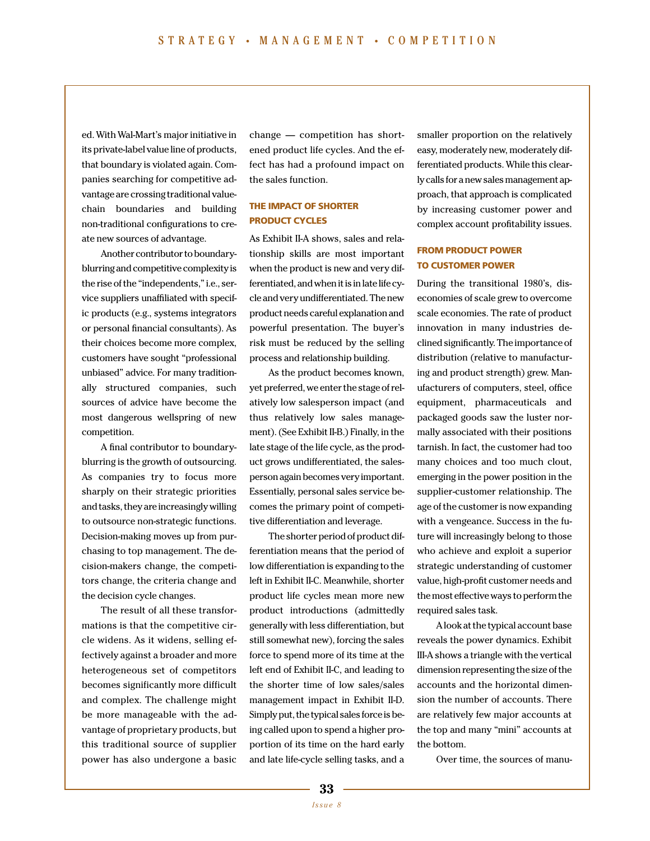ed. With Wal-Mart's major initiative in its private-label value line of products, that boundary is violated again. Companies searching for competitive advantage are crossing traditional valuechain boundaries and building non-traditional configurations to create new sources of advantage.

Another contributor to boundaryblurring and competitive complexity is the rise of the "independents," i.e., service suppliers unaffiliated with specific products (e.g., systems integrators or personal financial consultants). As their choices become more complex, customers have sought "professional unbiased" advice. For many traditionally structured companies, such sources of advice have become the most dangerous wellspring of new competition.

A final contributor to boundaryblurring is the growth of outsourcing. As companies try to focus more sharply on their strategic priorities and tasks, they are increasingly willing to outsource non-strategic functions. Decision-making moves up from purchasing to top management. The decision-makers change, the competitors change, the criteria change and the decision cycle changes.

The result of all these transformations is that the competitive circle widens. As it widens, selling effectively against a broader and more heterogeneous set of competitors becomes significantly more difficult and complex. The challenge might be more manageable with the advantage of proprietary products, but this traditional source of supplier power has also undergone a basic

change — competition has shortened product life cycles. And the effect has had a profound impact on the sales function.

# **THE IMPACT OF SHORTER PRODUCT CYCLES**

As Exhibit II-A shows, sales and relationship skills are most important when the product is new and very differentiated, and when it is in late life cycle and very undifferentiated. The new product needs careful explanation and powerful presentation. The buyer's risk must be reduced by the selling process and relationship building.

As the product becomes known, yet preferred, we enter the stage of relatively low salesperson impact (and thus relatively low sales management). (See Exhibit II-B.) Finally, in the late stage of the life cycle, as the product grows undifferentiated, the salesperson again becomes very important. Essentially, personal sales service becomes the primary point of competitive differentiation and leverage.

The shorter period of product differentiation means that the period of low differentiation is expanding to the left in Exhibit II-C. Meanwhile, shorter product life cycles mean more new product introductions (admittedly generally with less differentiation, but still somewhat new), forcing the sales force to spend more of its time at the left end of Exhibit II-C, and leading to the shorter time of low sales/sales management impact in Exhibit II-D. Simply put, the typical sales force is being called upon to spend a higher proportion of its time on the hard early and late life-cycle selling tasks, and a

smaller proportion on the relatively easy, moderately new, moderately differentiated products. While this clearly calls for a new sales management approach, that approach is complicated by increasing customer power and complex account profitability issues.

# **FROM PRODUCT POWER TO CUSTOMER POWER**

During the transitional 1980's, diseconomies of scale grew to overcome scale economies. The rate of product innovation in many industries declined significantly. The importance of distribution (relative to manufacturing and product strength) grew. Manufacturers of computers, steel, office equipment, pharmaceuticals and packaged goods saw the luster normally associated with their positions tarnish. In fact, the customer had too many choices and too much clout, emerging in the power position in the supplier-customer relationship. The age of the customer is now expanding with a vengeance. Success in the future will increasingly belong to those who achieve and exploit a superior strategic understanding of customer value, high-profit customer needs and the most effective ways to perform the required sales task.

A look at the typical account base reveals the power dynamics. Exhibit III-A shows a triangle with the vertical dimension representing the size of the accounts and the horizontal dimension the number of accounts. There are relatively few major accounts at the top and many "mini" accounts at the bottom.

Over time, the sources of manu-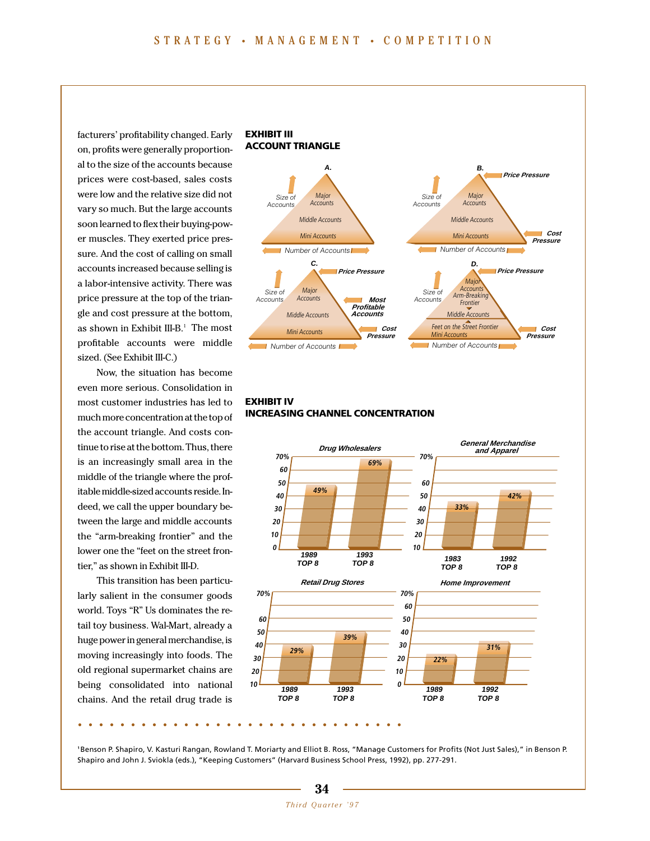facturers' profitability changed. Early on, profits were generally proportional to the size of the accounts because prices were cost-based, sales costs were low and the relative size did not vary so much. But the large accounts soon learned to flex their buying-power muscles. They exerted price pressure. And the cost of calling on small accounts increased because selling is a labor-intensive activity. There was price pressure at the top of the triangle and cost pressure at the bottom, as shown in Exhibit III-B.<sup>1</sup> The most profitable accounts were middle sized. (See Exhibit III-C.)

Now, the situation has become even more serious. Consolidation in most customer industries has led to much more concentration at the top of the account triangle. And costs continue to rise at the bottom. Thus, there is an increasingly small area in the middle of the triangle where the profitable middle-sized accounts reside. Indeed, we call the upper boundary between the large and middle accounts the "arm-breaking frontier" and the lower one the "feet on the street frontier," as shown in Exhibit III-D.

This transition has been particularly salient in the consumer goods world. Toys "R" Us dominates the retail toy business. Wal-Mart, already a huge power in general merchandise, is moving increasingly into foods. The old regional supermarket chains are being consolidated into national chains. And the retail drug trade is



# **EXHIBIT IV INCREASING CHANNEL CONCENTRATION**



**<sup>1</sup>**Benson P. Shapiro, V. Kasturi Rangan, Rowland T. Moriarty and Elliot B. Ross, "Manage Customers for Profits (Not Just Sales)," in Benson P. Shapiro and John J. Sviokla (eds.), "Keeping Customers" (Harvard Business School Press, 1992), pp. 277-291.

# **34** *Third Quarter '97*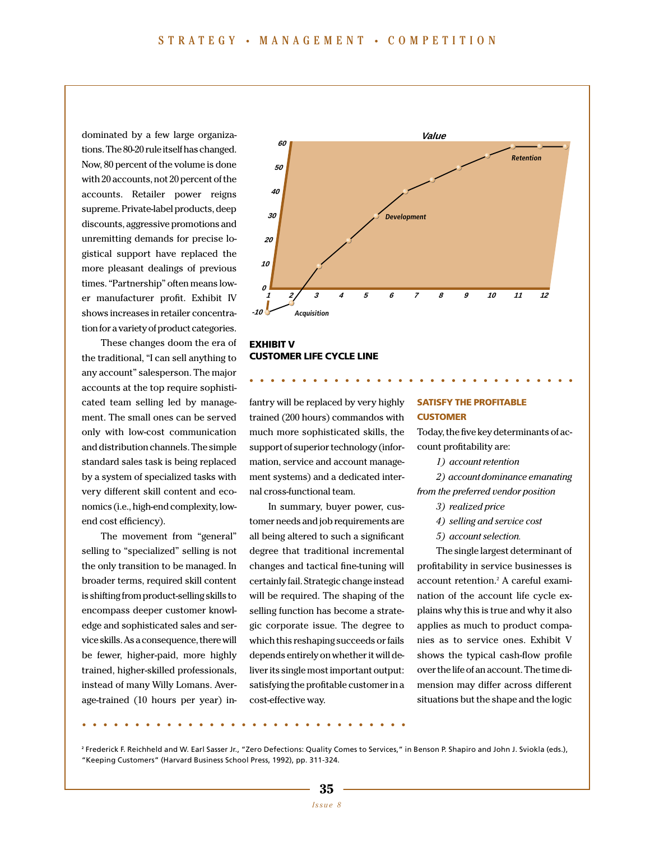dominated by a few large organizations. The 80-20 rule itself has changed. Now, 80 percent of the volume is done with 20 accounts, not 20 percent of the accounts. Retailer power reigns supreme. Private-label products, deep discounts, aggressive promotions and unremitting demands for precise logistical support have replaced the more pleasant dealings of previous times. "Partnership" often means lower manufacturer profit. Exhibit IV shows increases in retailer concentration for a variety of product categories.

These changes doom the era of the traditional, "I can sell anything to any account" salesperson. The major accounts at the top require sophisticated team selling led by management. The small ones can be served only with low-cost communication and distribution channels. The simple standard sales task is being replaced by a system of specialized tasks with very different skill content and economics (i.e., high-end complexity, lowend cost efficiency).

The movement from "general" selling to "specialized" selling is not the only transition to be managed. In broader terms, required skill content is shifting from product-selling skills to encompass deeper customer knowledge and sophisticated sales and service skills. As a consequence, there will be fewer, higher-paid, more highly trained, higher-skilled professionals, instead of many Willy Lomans. Average-trained (10 hours per year) in-



**...............................**

#### **EXHIBIT V CUSTOMER LIFE CYCLE LINE**

fantry will be replaced by very highly trained (200 hours) commandos with much more sophisticated skills, the support of superior technology (information, service and account management systems) and a dedicated internal cross-functional team.

In summary, buyer power, customer needs and job requirements are all being altered to such a significant degree that traditional incremental changes and tactical fine-tuning will certainly fail. Strategic change instead will be required. The shaping of the selling function has become a strategic corporate issue. The degree to which this reshaping succeeds or fails depends entirely on whether it will deliver its single most important output: satisfying the profitable customer in a cost-effective way.

# **SATISFY THE PROFITABLE CUSTOMER**

Today, the five key determinants of account profitability are:

*1) account retention*

*2) account dominance emanating from the preferred vendor position*

- *3) realized price*
- *4) selling and service cost*
- *5) account selection.*

The single largest determinant of profitability in service businesses is account retention.2 A careful examination of the account life cycle explains why this is true and why it also applies as much to product companies as to service ones. Exhibit V shows the typical cash-flow profile over the life of an account. The time dimension may differ across different situations but the shape and the logic

**<sup>2</sup>** Frederick F. Reichheld and W. Earl Sasser Jr., "Zero Defections: Quality Comes to Services," in Benson P. Shapiro and John J. Sviokla (eds.), "Keeping Customers" (Harvard Business School Press, 1992), pp. 311-324.

**...............................**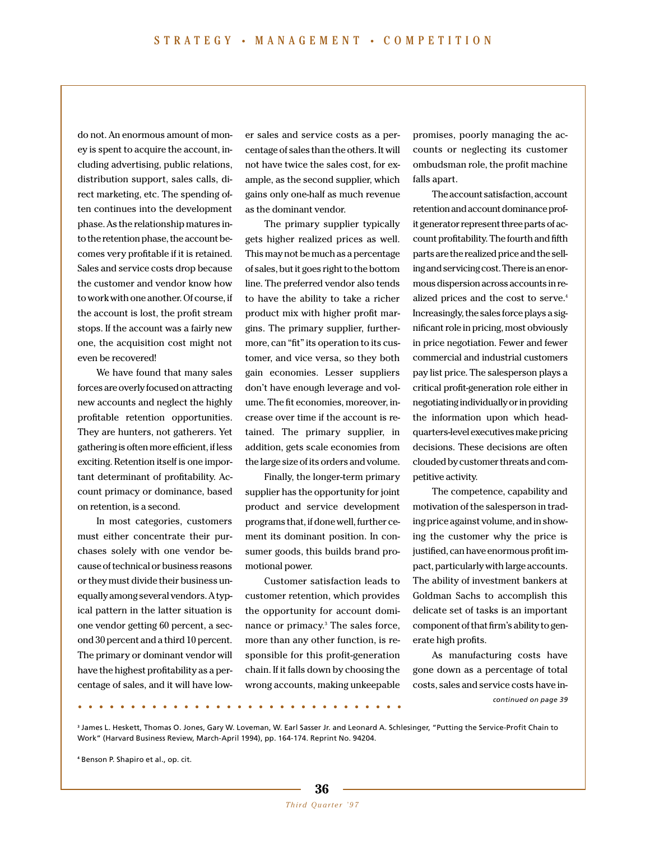do not. An enormous amount of money is spent to acquire the account, including advertising, public relations, distribution support, sales calls, direct marketing, etc. The spending often continues into the development phase. As the relationship matures into the retention phase, the account becomes very profitable if it is retained. Sales and service costs drop because the customer and vendor know how to work with one another. Of course, if the account is lost, the profit stream stops. If the account was a fairly new one, the acquisition cost might not even be recovered!

We have found that many sales forces are overly focused on attracting new accounts and neglect the highly profitable retention opportunities. They are hunters, not gatherers. Yet gathering is often more efficient, if less exciting. Retention itself is one important determinant of profitability. Account primacy or dominance, based on retention, is a second.

In most categories, customers must either concentrate their purchases solely with one vendor because of technical or business reasons or they must divide their business unequally among several vendors. A typical pattern in the latter situation is one vendor getting 60 percent, a second 30 percent and a third 10 percent. The primary or dominant vendor will have the highest profitability as a percentage of sales, and it will have lower sales and service costs as a percentage of sales than the others. It will not have twice the sales cost, for example, as the second supplier, which gains only one-half as much revenue as the dominant vendor.

The primary supplier typically gets higher realized prices as well. This may not be much as a percentage of sales, but it goes right to the bottom line. The preferred vendor also tends to have the ability to take a richer product mix with higher profit margins. The primary supplier, furthermore, can "fit" its operation to its customer, and vice versa, so they both gain economies. Lesser suppliers don't have enough leverage and volume. The fit economies, moreover, increase over time if the account is retained. The primary supplier, in addition, gets scale economies from the large size of its orders and volume.

Finally, the longer-term primary supplier has the opportunity for joint product and service development programs that, if done well, further cement its dominant position. In consumer goods, this builds brand promotional power.

Customer satisfaction leads to customer retention, which provides the opportunity for account dominance or primacy.<sup>3</sup> The sales force, more than any other function, is responsible for this profit-generation chain. If it falls down by choosing the wrong accounts, making unkeepable

promises, poorly managing the accounts or neglecting its customer ombudsman role, the profit machine falls apart.

The account satisfaction, account retention and account dominance profit generator represent three parts of account profitability. The fourth and fifth parts are the realized price and the selling and servicing cost. There is an enormous dispersion across accounts in realized prices and the cost to serve.<sup>4</sup> Increasingly, the sales force plays a significant role in pricing, most obviously in price negotiation. Fewer and fewer commercial and industrial customers pay list price. The salesperson plays a critical profit-generation role either in negotiating individually or in providing the information upon which headquarters-level executives make pricing decisions. These decisions are often clouded by customer threats and competitive activity.

The competence, capability and motivation of the salesperson in trading price against volume, and in showing the customer why the price is justified, can have enormous profit impact, particularly with large accounts. The ability of investment bankers at Goldman Sachs to accomplish this delicate set of tasks is an important component of that firm's ability to generate high profits.

As manufacturing costs have gone down as a percentage of total costs, sales and service costs have in-**...............................** *continued on page 39*

**<sup>3</sup>** James L. Heskett, Thomas O. Jones, Gary W. Loveman, W. Earl Sasser Jr. and Leonard A. Schlesinger, "Putting the Service-Profit Chain to Work" (Harvard Business Review, March-April 1994), pp. 164-174. Reprint No. 94204.

**<sup>4</sup>** Benson P. Shapiro et al., op. cit.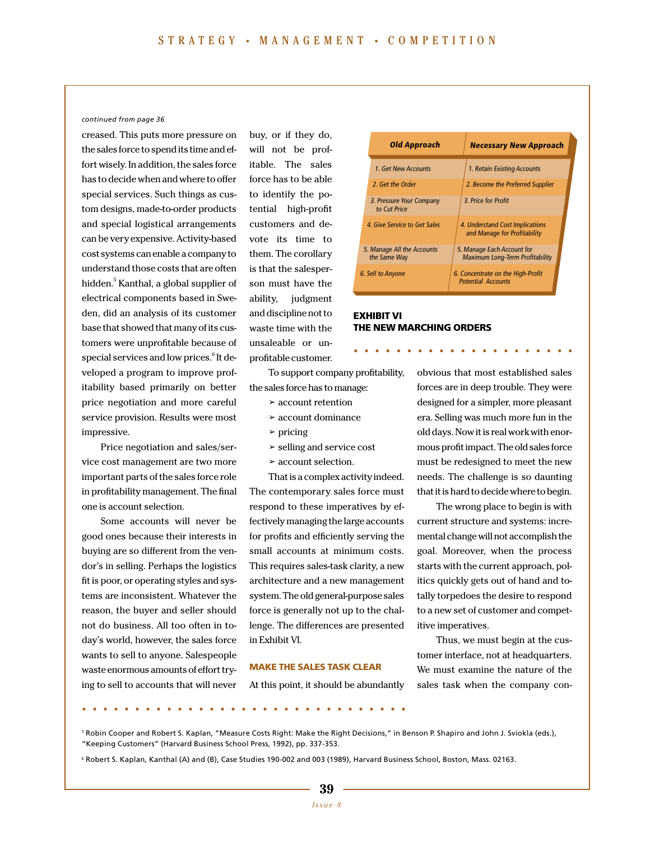#### *continued from page 36*

creased. This puts more pressure on the sales force to spend its time and effort wisely. In addition, the sales force has to decide when and where to offer special services. Such things as custom designs, made-to-order products and special logistical arrangements can be very expensive. Activity-based cost systems can enable a company to understand those costs that are often hidden.<sup>5</sup> Kanthal, a global supplier of electrical components based in Sweden, did an analysis of its customer base that showed that many of its customers were unprofitable because of special services and low prices.<sup>6</sup> It developed a program to improve profitability based primarily on better price negotiation and more careful service provision. Results were most impressive.

Price negotiation and sales/service cost management are two more important parts of the sales force role in profitability management. The final one is account selection.

Some accounts will never be good ones because their interests in buying are so different from the vendor's in selling. Perhaps the logistics fit is poor, or operating styles and systems are inconsistent. Whatever the reason, the buyer and seller should not do business. All too often in today's world, however, the sales force wants to sell to anyone. Salespeople waste enormous amounts of effort trying to sell to accounts that will never buy, or if they do, will not be profitable. The sales force has to be able to identify the potential high-profit customers and devote its time to them. The corollary is that the salesperson must have the ability, judgment and discipline not to waste time with the unsaleable or unprofitable customer.

To support company profitability, the sales force has to manage:

**EXHIBIT VI**

**THE NEW MARCHING ORDERS**

- ➢ account retention
- ➢ account dominance
- ➢ pricing
- $\ge$  selling and service cost
- ➢ account selection.

That is a complex activity indeed. The contemporary sales force must respond to these imperatives by effectively managing the large accounts for profits and efficiently serving the small accounts at minimum costs. This requires sales-task clarity, a new architecture and a new management system. The old general-purpose sales force is generally not up to the challenge. The differences are presented in Exhibit VI.

#### **MAKE THE SALES TASK CLEAR**

At this point, it should be abundantly

old days. Now it is real work with enormous profit impact. The old sales force must be redesigned to meet the new needs. The challenge is so daunting that it is hard to decide where to begin.

The wrong place to begin is with current structure and systems: incremental change will not accomplish the goal. Moreover, when the process starts with the current approach, politics quickly gets out of hand and totally torpedoes the desire to respond to a new set of customer and competitive imperatives.

obvious that most established sales forces are in deep trouble. They were designed for a simpler, more pleasant era. Selling was much more fun in the

Thus, we must begin at the customer interface, not at headquarters. We must examine the nature of the sales task when the company con-

<sup>5</sup> Robin Cooper and Robert S. Kaplan, "Measure Costs Right: Make the Right Decisions," in Benson P. Shapiro and John J. Sviokla (eds.), "Keeping Customers" (Harvard Business School Press, 1992), pp. 337-353.

<sup>6</sup> Robert S. Kaplan, Kanthal (A) and (B), Case Studies 190-002 and 003 (1989), Harvard Business School, Boston, Mass. 02163.

**...............................**





**.....................**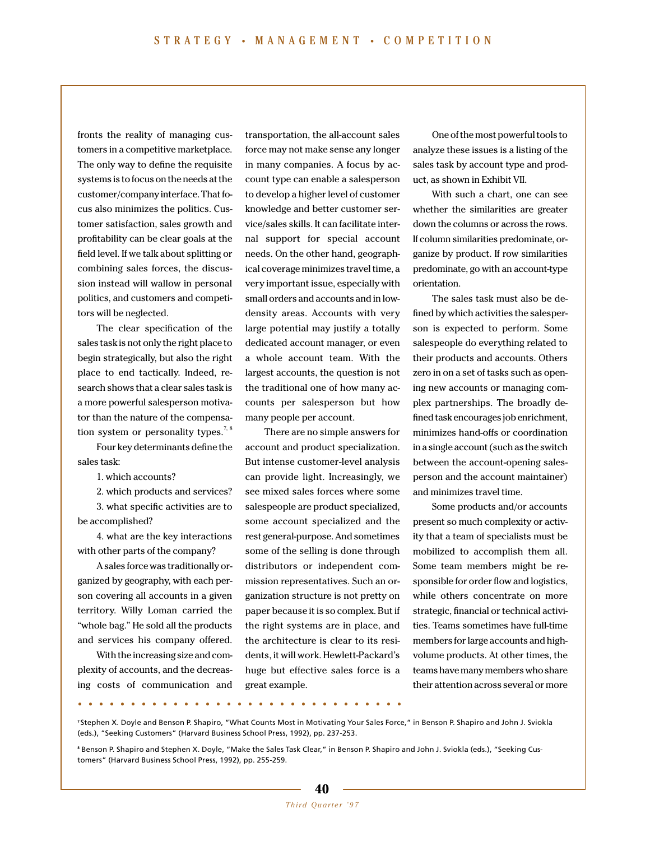fronts the reality of managing customers in a competitive marketplace. The only way to define the requisite systems is to focus on the needs at the customer/company interface. That focus also minimizes the politics. Customer satisfaction, sales growth and profitability can be clear goals at the field level. If we talk about splitting or combining sales forces, the discussion instead will wallow in personal politics, and customers and competitors will be neglected.

The clear specification of the sales task is not only the right place to begin strategically, but also the right place to end tactically. Indeed, research shows that a clear sales task is a more powerful salesperson motivator than the nature of the compensation system or personality types.<sup>7, 8</sup>

Four key determinants define the sales task:

1. which accounts?

2. which products and services? 3. what specific activities are to

be accomplished? 4. what are the key interactions

with other parts of the company? A sales force was traditionally organized by geography, with each person covering all accounts in a given territory. Willy Loman carried the

"whole bag." He sold all the products and services his company offered. With the increasing size and complexity of accounts, and the decreasing costs of communication and transportation, the all-account sales force may not make sense any longer in many companies. A focus by account type can enable a salesperson to develop a higher level of customer knowledge and better customer service/sales skills. It can facilitate internal support for special account needs. On the other hand, geographical coverage minimizes travel time, a very important issue, especially with small orders and accounts and in lowdensity areas. Accounts with very large potential may justify a totally dedicated account manager, or even a whole account team. With the largest accounts, the question is not the traditional one of how many accounts per salesperson but how many people per account.

There are no simple answers for account and product specialization. But intense customer-level analysis can provide light. Increasingly, we see mixed sales forces where some salespeople are product specialized, some account specialized and the rest general-purpose. And sometimes some of the selling is done through distributors or independent commission representatives. Such an organization structure is not pretty on paper because it is so complex. But if the right systems are in place, and the architecture is clear to its residents, it will work. Hewlett-Packard's huge but effective sales force is a great example.

One of the most powerful tools to analyze these issues is a listing of the sales task by account type and product, as shown in Exhibit VII.

With such a chart, one can see whether the similarities are greater down the columns or across the rows. If column similarities predominate, organize by product. If row similarities predominate, go with an account-type orientation.

The sales task must also be defined by which activities the salesperson is expected to perform. Some salespeople do everything related to their products and accounts. Others zero in on a set of tasks such as opening new accounts or managing complex partnerships. The broadly defined task encourages job enrichment, minimizes hand-offs or coordination in a single account (such as the switch between the account-opening salesperson and the account maintainer) and minimizes travel time.

Some products and/or accounts present so much complexity or activity that a team of specialists must be mobilized to accomplish them all. Some team members might be responsible for order flow and logistics, while others concentrate on more strategic, financial or technical activities. Teams sometimes have full-time members for large accounts and highvolume products. At other times, the teams have many members who share their attention across several or more

**...............................**

**<sup>7</sup>** Stephen X. Doyle and Benson P. Shapiro, "What Counts Most in Motivating Your Sales Force," in Benson P. Shapiro and John J. Sviokla (eds.), "Seeking Customers" (Harvard Business School Press, 1992), pp. 237-253.

**<sup>8</sup>** Benson P. Shapiro and Stephen X. Doyle, "Make the Sales Task Clear," in Benson P. Shapiro and John J. Sviokla (eds.), "Seeking Customers" (Harvard Business School Press, 1992), pp. 255-259.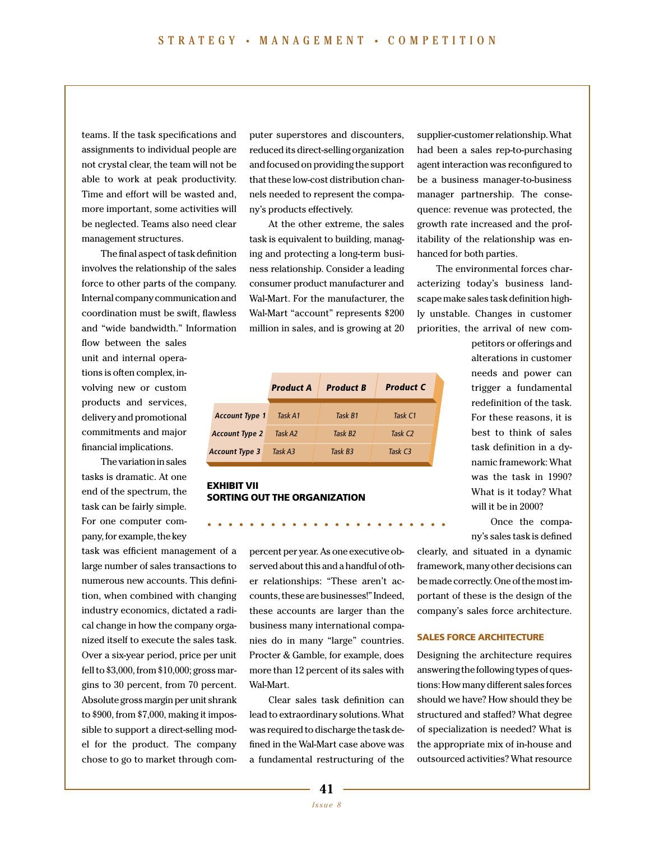teams. If the task specifications and assignments to individual people are not crystal clear, the team will not be able to work at peak productivity. Time and effort will be wasted and, more important, some activities will be neglected. Teams also need clear management structures.

The final aspect of task definition involves the relationship of the sales force to other parts of the company. Internal company communication and coordination must be swift, flawless and "wide bandwidth." Information

flow between the sales unit and internal operations is often complex, involving new or custom products and services, delivery and promotional commitments and major financial implications.

The variation in sales tasks is dramatic. At one end of the spectrum, the task can be fairly simple. For one computer company, for example, the key

task was efficient management of a large number of sales transactions to numerous new accounts. This definition, when combined with changing industry economics, dictated a radical change in how the company organized itself to execute the sales task. Over a six-year period, price per unit fell to \$3,000, from \$10,000; gross margins to 30 percent, from 70 percent. Absolute gross margin per unit shrank to \$900, from \$7,000, making it impossible to support a direct-selling model for the product. The company chose to go to market through computer superstores and discounters, reduced its direct-selling organization and focused on providing the support that these low-cost distribution channels needed to represent the company's products effectively.

At the other extreme, the sales task is equivalent to building, managing and protecting a long-term business relationship. Consider a leading consumer product manufacturer and Wal-Mart. For the manufacturer, the Wal-Mart "account" represents \$200 million in sales, and is growing at 20

|                       | <b>Product A</b> | <b>Product B</b>    | <b>Product C</b>    |
|-----------------------|------------------|---------------------|---------------------|
| <b>Account Type 1</b> | Task A1          | Task B1             | Task C1             |
| <b>Account Type 2</b> | Task A2          | Task B <sub>2</sub> | Task C <sub>2</sub> |
| Account Type 3        | Task A3          | Task B3             | Task C <sub>3</sub> |

# **EXHIBIT VII SORTING OUT THE ORGANIZATION**

percent per year. As one executive observed about this and a handful of other relationships: "These aren't accounts, these are businesses!" Indeed, these accounts are larger than the business many international companies do in many "large" countries. Procter & Gamble, for example, does more than 12 percent of its sales with Wal-Mart.

**.......................**

Clear sales task definition can lead to extraordinary solutions. What was required to discharge the task defined in the Wal-Mart case above was a fundamental restructuring of the

supplier-customer relationship. What had been a sales rep-to-purchasing agent interaction was reconfigured to be a business manager-to-business manager partnership. The consequence: revenue was protected, the growth rate increased and the profitability of the relationship was enhanced for both parties.

The environmental forces characterizing today's business landscape make sales task definition highly unstable. Changes in customer priorities, the arrival of new com-

> petitors or offerings and alterations in customer needs and power can trigger a fundamental redefinition of the task. For these reasons, it is best to think of sales task definition in a dynamic framework: What was the task in 1990? What is it today? What will it be in 2000?

Once the company's sales task is defined

clearly, and situated in a dynamic framework, many other decisions can be made correctly. One of the most important of these is the design of the company's sales force architecture.

# **SALES FORCE ARCHITECTURE**

Designing the architecture requires answering the following types of questions: How many different sales forces should we have? How should they be structured and staffed? What degree of specialization is needed? What is the appropriate mix of in-house and outsourced activities? What resource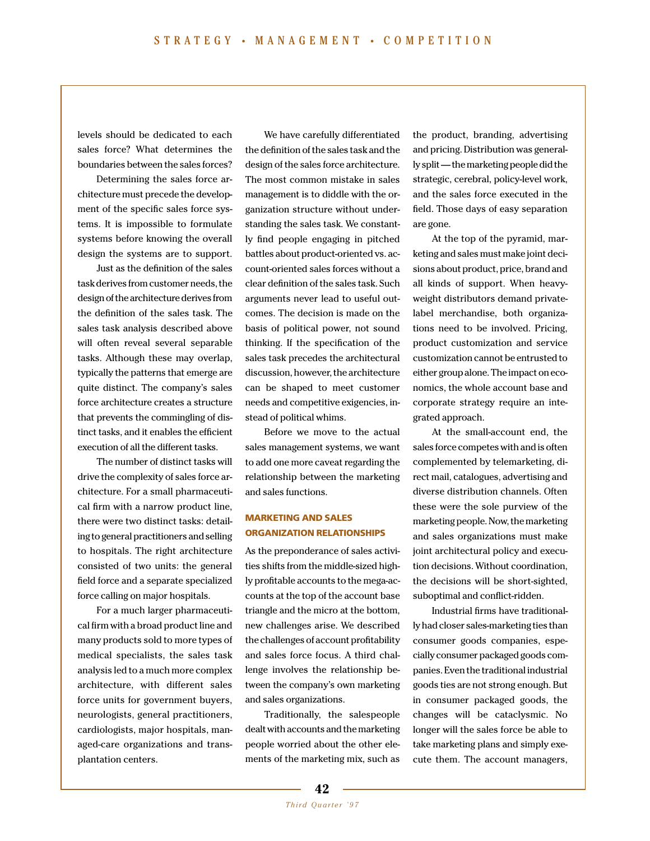levels should be dedicated to each sales force? What determines the boundaries between the sales forces?

Determining the sales force architecture must precede the development of the specific sales force systems. It is impossible to formulate systems before knowing the overall design the systems are to support.

Just as the definition of the sales task derives from customer needs, the design of the architecture derives from the definition of the sales task. The sales task analysis described above will often reveal several separable tasks. Although these may overlap, typically the patterns that emerge are quite distinct. The company's sales force architecture creates a structure that prevents the commingling of distinct tasks, and it enables the efficient execution of all the different tasks.

The number of distinct tasks will drive the complexity of sales force architecture. For a small pharmaceutical firm with a narrow product line, there were two distinct tasks: detailing to general practitioners and selling to hospitals. The right architecture consisted of two units: the general field force and a separate specialized force calling on major hospitals.

For a much larger pharmaceutical firm with a broad product line and many products sold to more types of medical specialists, the sales task analysis led to a much more complex architecture, with different sales force units for government buyers, neurologists, general practitioners, cardiologists, major hospitals, managed-care organizations and transplantation centers.

We have carefully differentiated the definition of the sales task and the design of the sales force architecture. The most common mistake in sales management is to diddle with the organization structure without understanding the sales task. We constantly find people engaging in pitched battles about product-oriented vs. account-oriented sales forces without a clear definition of the sales task. Such arguments never lead to useful outcomes. The decision is made on the basis of political power, not sound thinking. If the specification of the sales task precedes the architectural discussion, however, the architecture can be shaped to meet customer needs and competitive exigencies, instead of political whims.

Before we move to the actual sales management systems, we want to add one more caveat regarding the relationship between the marketing and sales functions.

# **MARKETING AND SALES ORGANIZATION RELATIONSHIPS**

As the preponderance of sales activities shifts from the middle-sized highly profitable accounts to the mega-accounts at the top of the account base triangle and the micro at the bottom, new challenges arise. We described the challenges of account profitability and sales force focus. A third challenge involves the relationship between the company's own marketing and sales organizations.

Traditionally, the salespeople dealt with accounts and the marketing people worried about the other elements of the marketing mix, such as

the product, branding, advertising and pricing. Distribution was generally split — the marketing people did the strategic, cerebral, policy-level work, and the sales force executed in the field. Those days of easy separation are gone.

At the top of the pyramid, marketing and sales must make joint decisions about product, price, brand and all kinds of support. When heavyweight distributors demand privatelabel merchandise, both organizations need to be involved. Pricing, product customization and service customization cannot be entrusted to either group alone. The impact on economics, the whole account base and corporate strategy require an integrated approach.

At the small-account end, the sales force competes with and is often complemented by telemarketing, direct mail, catalogues, advertising and diverse distribution channels. Often these were the sole purview of the marketing people. Now, the marketing and sales organizations must make joint architectural policy and execution decisions. Without coordination, the decisions will be short-sighted, suboptimal and conflict-ridden.

Industrial firms have traditionally had closer sales-marketing ties than consumer goods companies, especially consumer packaged goods companies. Even the traditional industrial goods ties are not strong enough. But in consumer packaged goods, the changes will be cataclysmic. No longer will the sales force be able to take marketing plans and simply execute them. The account managers,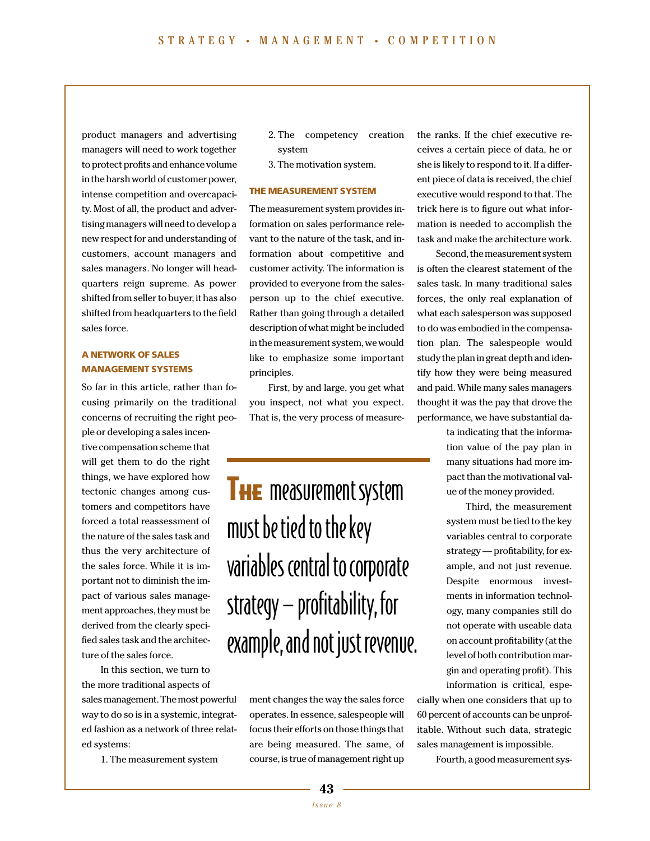product managers and advertising managers will need to work together to protect profits and enhance volume in the harsh world of customer power, intense competition and overcapacity. Most of all, the product and advertising managers will need to develop a new respect for and understanding of customers, account managers and sales managers. No longer will headquarters reign supreme. As power shifted from seller to buyer, it has also shifted from headquarters to the field sales force.

# **A NETWORK OF SALES MANAGEMENT SYSTEMS**

So far in this article, rather than focusing primarily on the traditional concerns of recruiting the right peo-

ple or developing a sales incentive compensation scheme that will get them to do the right things, we have explored how tectonic changes among customers and competitors have forced a total reassessment of the nature of the sales task and thus the very architecture of the sales force. While it is important not to diminish the impact of various sales management approaches, they must be derived from the clearly specified sales task and the architecture of the sales force.

In this section, we turn to the more traditional aspects of sales management. The most powerful way to do so is in a systemic, integrated fashion as a network of three related systems:

1. The measurement system

- 2. The competency creation system
- 3. The motivation system.

#### **THE MEASUREMENT SYSTEM**

The measurement system provides information on sales performance relevant to the nature of the task, and information about competitive and customer activity. The information is provided to everyone from the salesperson up to the chief executive. Rather than going through a detailed description of what might be included in the measurement system, we would like to emphasize some important principles.

First, by and large, you get what you inspect, not what you expect. That is, the very process of measure-

# **THE** measurement system must be tied to the key variables central to corporate strategy — profitability, for example, and not just revenue.

ment changes the way the sales force operates. In essence, salespeople will focus their efforts on those things that are being measured. The same, of course, is true of management right up

the ranks. If the chief executive receives a certain piece of data, he or she is likely to respond to it. If a different piece of data is received, the chief executive would respond to that. The trick here is to figure out what information is needed to accomplish the task and make the architecture work.

Second, the measurement system is often the clearest statement of the sales task. In many traditional sales forces, the only real explanation of what each salesperson was supposed to do was embodied in the compensation plan. The salespeople would study the plan in great depth and identify how they were being measured and paid. While many sales managers thought it was the pay that drove the performance, we have substantial da-

> ta indicating that the information value of the pay plan in many situations had more impact than the motivational value of the money provided.

> Third, the measurement system must be tied to the key variables central to corporate strategy — profitability, for example, and not just revenue. Despite enormous investments in information technology, many companies still do not operate with useable data on account profitability (at the level of both contribution margin and operating profit). This information is critical, espe-

cially when one considers that up to 60 percent of accounts can be unprofitable. Without such data, strategic sales management is impossible.

Fourth, a good measurement sys-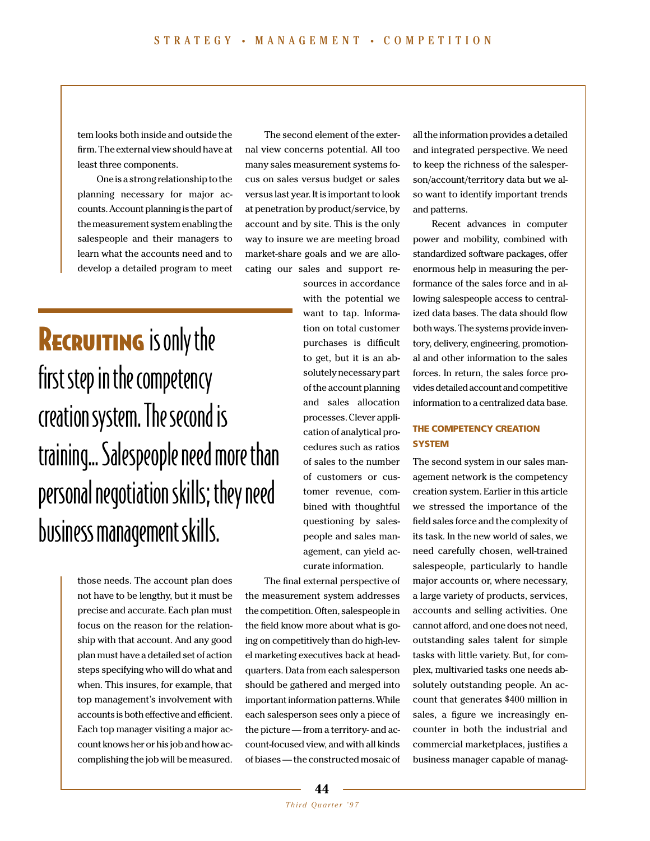tem looks both inside and outside the firm. The external view should have at least three components.

One is a strong relationship to the planning necessary for major accounts. Account planning is the part of the measurement system enabling the salespeople and their managers to learn what the accounts need and to develop a detailed program to meet

The second element of the external view concerns potential. All too many sales measurement systems focus on sales versus budget or sales versus last year. It is important to look at penetration by product/service, by account and by site. This is the only way to insure we are meeting broad market-share goals and we are allocating our sales and support re-

**RECRUITING** is only the first step in the competency creation system. The second is training... Salespeople need more than personal negotiation skills; they need business management skills.

> those needs. The account plan does not have to be lengthy, but it must be precise and accurate. Each plan must focus on the reason for the relationship with that account. And any good plan must have a detailed set of action steps specifying who will do what and when. This insures, for example, that top management's involvement with accounts is both effective and efficient. Each top manager visiting a major account knows her or his job and how accomplishing the job will be measured.

sources in accordance with the potential we want to tap. Information on total customer purchases is difficult to get, but it is an absolutely necessary part of the account planning and sales allocation processes. Clever application of analytical procedures such as ratios of sales to the number of customers or customer revenue, combined with thoughtful questioning by salespeople and sales management, can yield accurate information.

The final external perspective of the measurement system addresses the competition. Often, salespeople in the field know more about what is going on competitively than do high-level marketing executives back at headquarters. Data from each salesperson should be gathered and merged into important information patterns. While each salesperson sees only a piece of the picture — from a territory- and account-focused view, and with all kinds of biases — the constructed mosaic of

all the information provides a detailed and integrated perspective. We need to keep the richness of the salesperson/account/territory data but we also want to identify important trends and patterns.

Recent advances in computer power and mobility, combined with standardized software packages, offer enormous help in measuring the performance of the sales force and in allowing salespeople access to centralized data bases. The data should flow both ways. The systems provide inventory, delivery, engineering, promotional and other information to the sales forces. In return, the sales force provides detailed account and competitive information to a centralized data base.

# **THE COMPETENCY CREATION SYSTEM**

The second system in our sales management network is the competency creation system. Earlier in this article we stressed the importance of the field sales force and the complexity of its task. In the new world of sales, we need carefully chosen, well-trained salespeople, particularly to handle major accounts or, where necessary, a large variety of products, services, accounts and selling activities. One cannot afford, and one does not need, outstanding sales talent for simple tasks with little variety. But, for complex, multivaried tasks one needs absolutely outstanding people. An account that generates \$400 million in sales, a figure we increasingly encounter in both the industrial and commercial marketplaces, justifies a business manager capable of manag-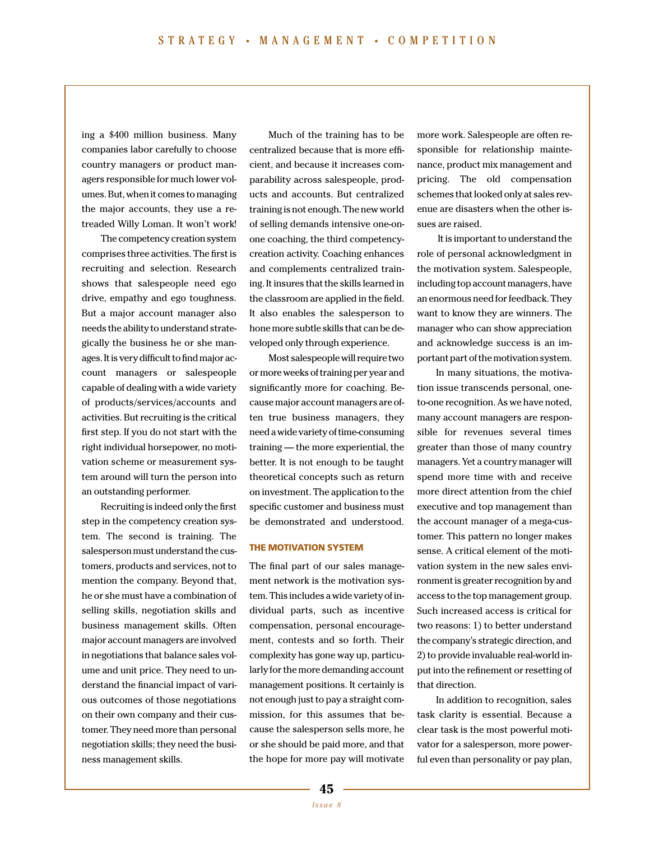ing a \$400 million business. Many companies labor carefully to choose country managers or product managers responsible for much lower volumes. But, when it comes to managing the major accounts, they use a retreaded Willy Loman. It won't work!

The competency creation system comprises three activities. The first is recruiting and selection. Research shows that salespeople need ego drive, empathy and ego toughness. But a major account manager also needs the ability to understand strategically the business he or she manages. It is very difficult to find major account managers or salespeople capable of dealing with a wide variety of products/services/accounts and activities. But recruiting is the critical first step. If you do not start with the right individual horsepower, no motivation scheme or measurement system around will turn the person into an outstanding performer.

Recruiting is indeed only the first step in the competency creation system. The second is training. The salesperson must understand the customers, products and services, not to mention the company. Beyond that, he or she must have a combination of selling skills, negotiation skills and business management skills. Often major account managers are involved in negotiations that balance sales volume and unit price. They need to understand the financial impact of various outcomes of those negotiations on their own company and their customer. They need more than personal negotiation skills; they need the business management skills.

Much of the training has to be centralized because that is more efficient, and because it increases comparability across salespeople, products and accounts. But centralized training is not enough. The new world of selling demands intensive one-onone coaching, the third competencycreation activity. Coaching enhances and complements centralized training. It insures that the skills learned in the classroom are applied in the field. It also enables the salesperson to hone more subtle skills that can be developed only through experience.

Most salespeople will require two or more weeks of training per year and significantly more for coaching. Because major account managers are often true business managers, they need a wide variety of time-consuming training — the more experiential, the better. It is not enough to be taught theoretical concepts such as return on investment. The application to the specific customer and business must be demonstrated and understood.

# **THE MOTIVATION SYSTEM**

The final part of our sales management network is the motivation system. This includes a wide variety of individual parts, such as incentive compensation, personal encouragement, contests and so forth. Their complexity has gone way up, particularly for the more demanding account management positions. It certainly is not enough just to pay a straight commission, for this assumes that because the salesperson sells more, he or she should be paid more, and that the hope for more pay will motivate

more work. Salespeople are often responsible for relationship maintenance, product mix management and pricing. The old compensation schemes that looked only at sales revenue are disasters when the other issues are raised.

It is important to understand the role of personal acknowledgment in the motivation system. Salespeople, including top account managers, have an enormous need for feedback. They want to know they are winners. The manager who can show appreciation and acknowledge success is an important part of the motivation system.

In many situations, the motivation issue transcends personal, oneto-one recognition. As we have noted, many account managers are responsible for revenues several times greater than those of many country managers. Yet a country manager will spend more time with and receive more direct attention from the chief executive and top management than the account manager of a mega-customer. This pattern no longer makes sense. A critical element of the motivation system in the new sales environment is greater recognition by and access to the top management group. Such increased access is critical for two reasons: 1) to better understand the company's strategic direction, and 2) to provide invaluable real-world input into the refinement or resetting of that direction.

In addition to recognition, sales task clarity is essential. Because a clear task is the most powerful motivator for a salesperson, more powerful even than personality or pay plan,